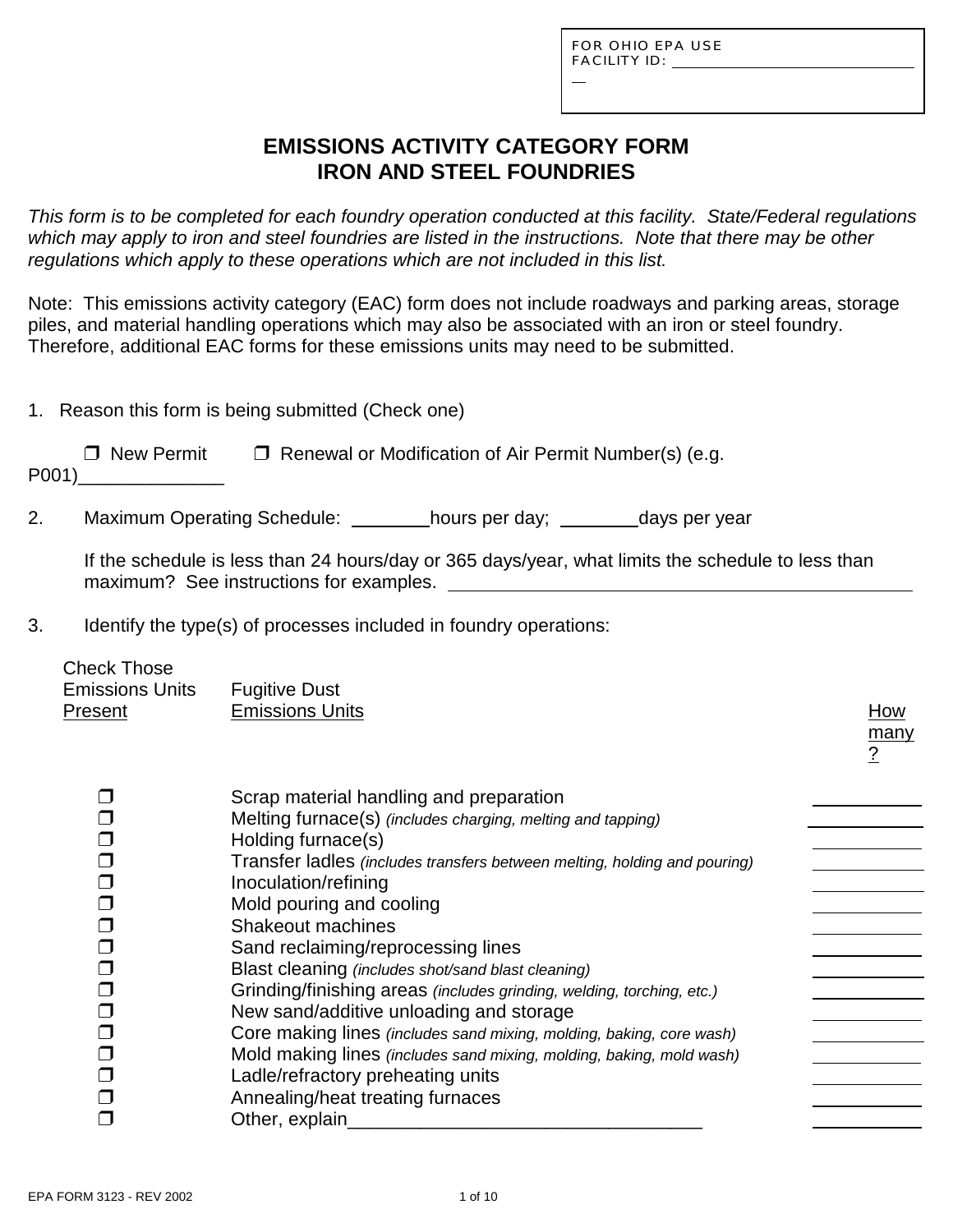L

## **EMISSIONS ACTIVITY CATEGORY FORM IRON AND STEEL FOUNDRIES**

*This form is to be completed for each foundry operation conducted at this facility. State/Federal regulations which may apply to iron and steel foundries are listed in the instructions. Note that there may be other regulations which apply to these operations which are not included in this list.*

Note: This emissions activity category (EAC) form does not include roadways and parking areas, storage piles, and material handling operations which may also be associated with an iron or steel foundry. Therefore, additional EAC forms for these emissions units may need to be submitted.

|  |  |  | 1. Reason this form is being submitted (Check one) |  |
|--|--|--|----------------------------------------------------|--|
|  |  |  |                                                    |  |

| $\Box$ New Permit | $\Box$ Renewal or Modification of Air Permit Number(s) (e.g. |
|-------------------|--------------------------------------------------------------|
| P001)             |                                                              |

2. Maximum Operating Schedule: hours per day; days per year

If the schedule is less than 24 hours/day or 365 days/year, what limits the schedule to less than maximum? See instructions for examples.

3. Identify the type(s) of processes included in foundry operations:

| <b>UILEUN THUSE</b><br><b>Emissions Units</b><br><b>Present</b> | <b>Fugitive Dust</b><br><b>Emissions Units</b>                                                                                                                                                                                                                                                                                                                                                                                                                                                                                                                                                                                                                                                                                                       | How<br>many<br><u>?</u> |
|-----------------------------------------------------------------|------------------------------------------------------------------------------------------------------------------------------------------------------------------------------------------------------------------------------------------------------------------------------------------------------------------------------------------------------------------------------------------------------------------------------------------------------------------------------------------------------------------------------------------------------------------------------------------------------------------------------------------------------------------------------------------------------------------------------------------------------|-------------------------|
|                                                                 | Scrap material handling and preparation<br>Melting furnace(s) (includes charging, melting and tapping)<br>Holding furnace(s)<br>Transfer ladles (includes transfers between melting, holding and pouring)<br>Inoculation/refining<br>Mold pouring and cooling<br><b>Shakeout machines</b><br>Sand reclaiming/reprocessing lines<br>Blast cleaning (includes shot/sand blast cleaning)<br>Grinding/finishing areas (includes grinding, welding, torching, etc.)<br>New sand/additive unloading and storage<br>Core making lines (includes sand mixing, molding, baking, core wash)<br>Mold making lines (includes sand mixing, molding, baking, mold wash)<br>Ladle/refractory preheating units<br>Annealing/heat treating furnaces<br>Other, explain |                         |

Check Those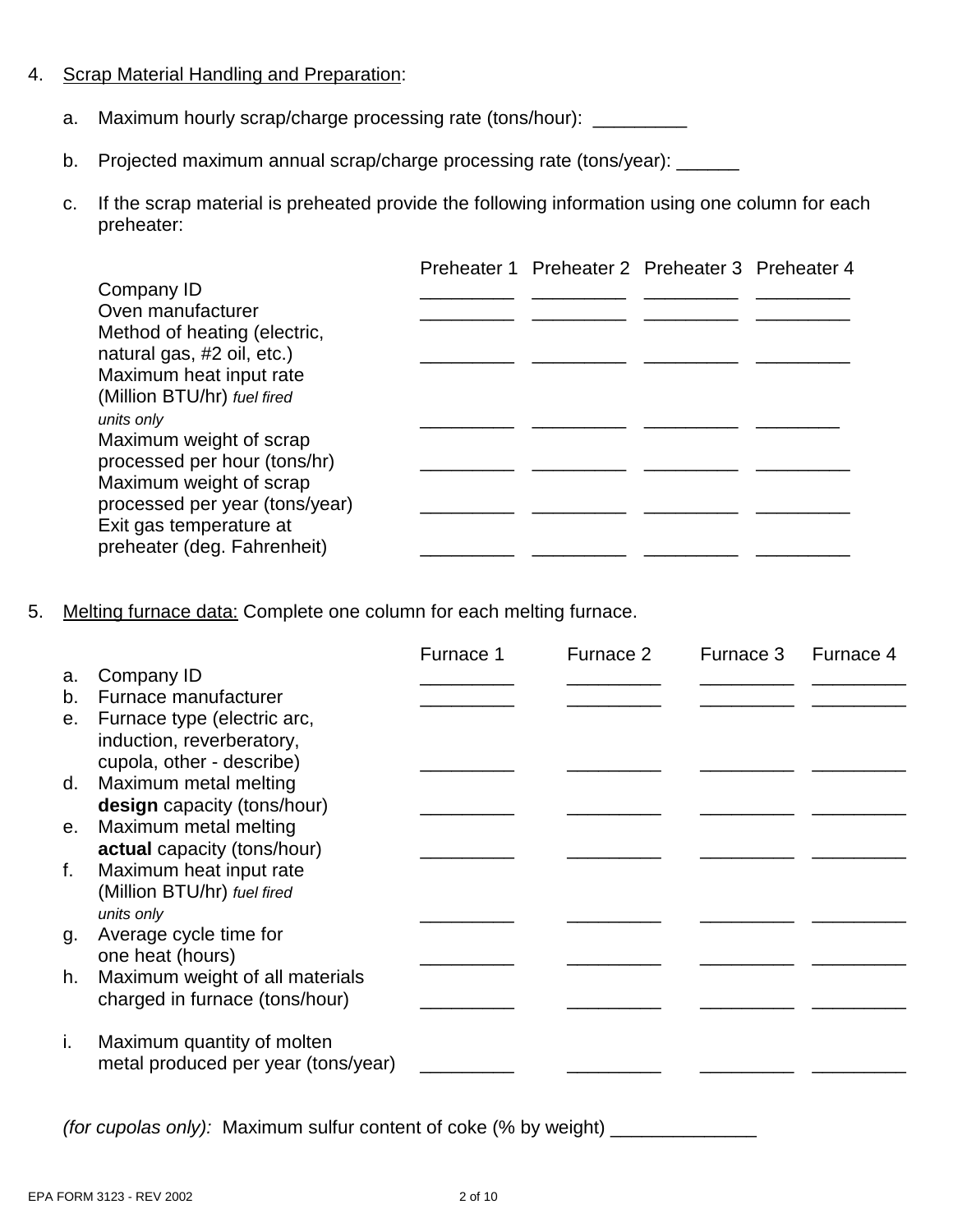#### 4. Scrap Material Handling and Preparation:

- a. Maximum hourly scrap/charge processing rate (tons/hour): \_\_\_\_\_\_\_\_\_
- b. Projected maximum annual scrap/charge processing rate (tons/year): \_\_\_\_\_\_
- c. If the scrap material is preheated provide the following information using one column for each preheater:

|                                                           | Preheater 1 Preheater 2 Preheater 3 Preheater 4 |  |
|-----------------------------------------------------------|-------------------------------------------------|--|
| Company ID                                                |                                                 |  |
| Oven manufacturer                                         |                                                 |  |
| Method of heating (electric,                              |                                                 |  |
| natural gas, #2 oil, etc.)                                |                                                 |  |
| Maximum heat input rate                                   |                                                 |  |
| (Million BTU/hr) fuel fired                               |                                                 |  |
| units only                                                |                                                 |  |
| Maximum weight of scrap                                   |                                                 |  |
| processed per hour (tons/hr)                              |                                                 |  |
| Maximum weight of scrap<br>processed per year (tons/year) |                                                 |  |
| Exit gas temperature at                                   |                                                 |  |
| preheater (deg. Fahrenheit)                               |                                                 |  |
|                                                           |                                                 |  |

5. Melting furnace data: Complete one column for each melting furnace.

|    |                                                     | Furnace 1 | Furnace 2 | Furnace 3 | Furnace 4 |
|----|-----------------------------------------------------|-----------|-----------|-----------|-----------|
| a. | Company ID                                          |           |           |           |           |
| b. | Furnace manufacturer                                |           |           |           |           |
| е. | Furnace type (electric arc,                         |           |           |           |           |
|    | induction, reverberatory,                           |           |           |           |           |
|    | cupola, other - describe)                           |           |           |           |           |
| d. | Maximum metal melting                               |           |           |           |           |
|    | design capacity (tons/hour)                         |           |           |           |           |
| e. | Maximum metal melting                               |           |           |           |           |
|    | actual capacity (tons/hour)                         |           |           |           |           |
| f. | Maximum heat input rate                             |           |           |           |           |
|    | (Million BTU/hr) fuel fired                         |           |           |           |           |
|    | units only                                          |           |           |           |           |
| g. | Average cycle time for                              |           |           |           |           |
| h. | one heat (hours)<br>Maximum weight of all materials |           |           |           |           |
|    | charged in furnace (tons/hour)                      |           |           |           |           |
|    |                                                     |           |           |           |           |
| j. | Maximum quantity of molten                          |           |           |           |           |
|    | metal produced per year (tons/year)                 |           |           |           |           |
|    |                                                     |           |           |           |           |

*(for cupolas only):* Maximum sulfur content of coke (% by weight) \_\_\_\_\_\_\_\_\_\_\_\_\_\_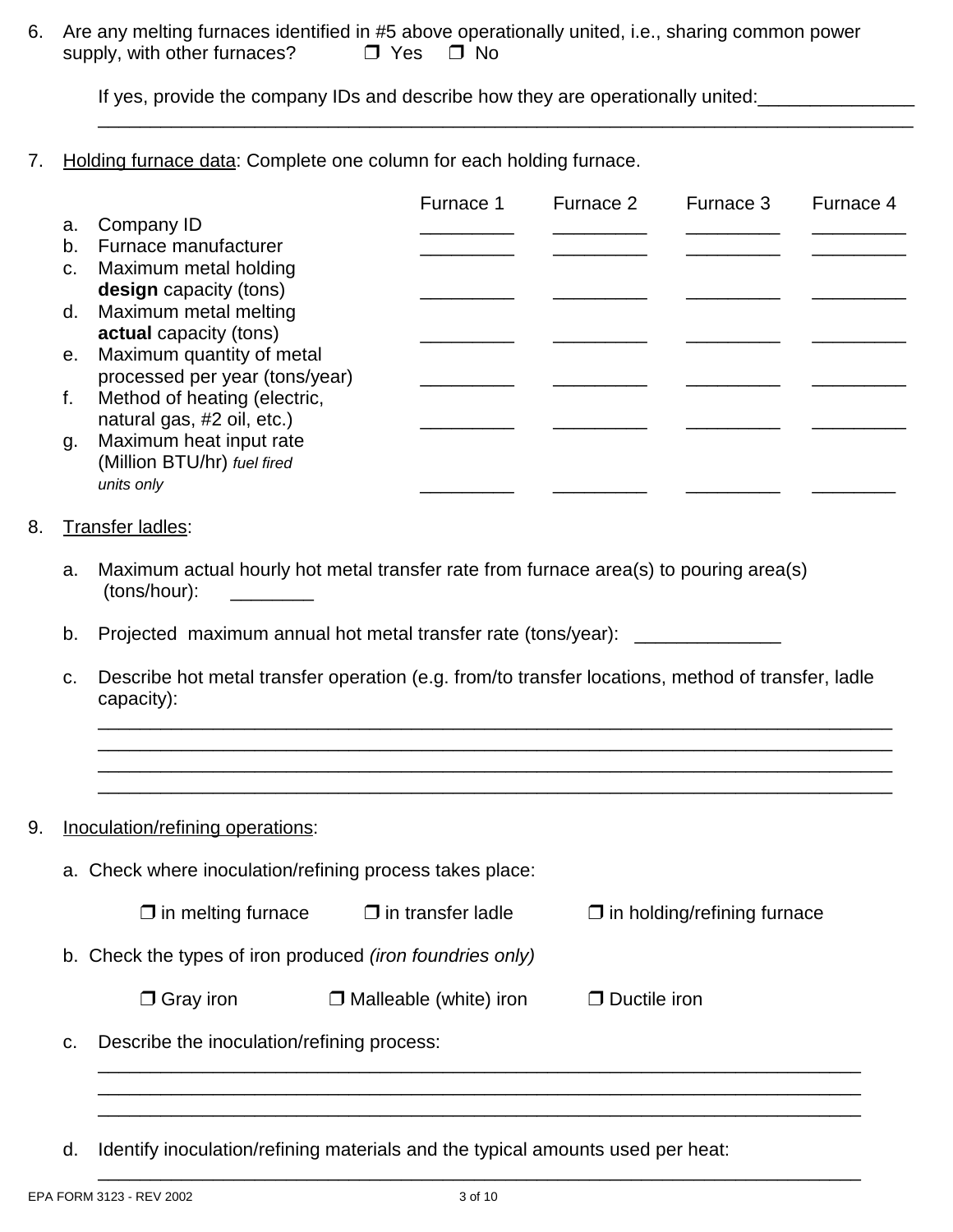6. Are any melting furnaces identified in #5 above operationally united, i.e., sharing common power supply, with other furnaces?  $\Box$  Yes  $\Box$  No

If yes, provide the company IDs and describe how they are operationally united:

7. Holding furnace data: Complete one column for each holding furnace.

|         |                                | Furnace 1 | Furnace 2 | Furnace 3 | Furnace 4 |
|---------|--------------------------------|-----------|-----------|-----------|-----------|
| a.      | Company ID                     |           |           |           |           |
| b.      | Furnace manufacturer           |           |           |           |           |
| $C_{1}$ | Maximum metal holding          |           |           |           |           |
|         | design capacity (tons)         |           |           |           |           |
|         | d. Maximum metal melting       |           |           |           |           |
|         | <b>actual</b> capacity (tons)  |           |           |           |           |
| е.      | Maximum quantity of metal      |           |           |           |           |
|         | processed per year (tons/year) |           |           |           |           |
| f.      | Method of heating (electric,   |           |           |           |           |
|         | natural gas, #2 oil, etc.)     |           |           |           |           |
| g.      | Maximum heat input rate        |           |           |           |           |
|         | (Million BTU/hr) fuel fired    |           |           |           |           |
|         | units only                     |           |           |           |           |

\_\_\_\_\_\_\_\_\_\_\_\_\_\_\_\_\_\_\_\_\_\_\_\_\_\_\_\_\_\_\_\_\_\_\_\_\_\_\_\_\_\_\_\_\_\_\_\_\_\_\_\_\_\_\_\_\_\_\_\_\_\_\_\_\_\_\_\_\_\_\_\_\_\_\_\_\_\_

#### 8. Transfer ladles:

- a. Maximum actual hourly hot metal transfer rate from furnace area(s) to pouring area(s) (tons/hour): \_\_\_\_\_\_\_\_
- b. Projected maximum annual hot metal transfer rate (tons/year):
- c. Describe hot metal transfer operation (e.g. from/to transfer locations, method of transfer, ladle capacity):

\_\_\_\_\_\_\_\_\_\_\_\_\_\_\_\_\_\_\_\_\_\_\_\_\_\_\_\_\_\_\_\_\_\_\_\_\_\_\_\_\_\_\_\_\_\_\_\_\_\_\_\_\_\_\_\_\_\_\_\_\_\_\_\_\_\_\_\_\_\_\_\_\_\_\_\_ \_\_\_\_\_\_\_\_\_\_\_\_\_\_\_\_\_\_\_\_\_\_\_\_\_\_\_\_\_\_\_\_\_\_\_\_\_\_\_\_\_\_\_\_\_\_\_\_\_\_\_\_\_\_\_\_\_\_\_\_\_\_\_\_\_\_\_\_\_\_\_\_\_\_\_\_ \_\_\_\_\_\_\_\_\_\_\_\_\_\_\_\_\_\_\_\_\_\_\_\_\_\_\_\_\_\_\_\_\_\_\_\_\_\_\_\_\_\_\_\_\_\_\_\_\_\_\_\_\_\_\_\_\_\_\_\_\_\_\_\_\_\_\_\_\_\_\_\_\_\_\_\_ \_\_\_\_\_\_\_\_\_\_\_\_\_\_\_\_\_\_\_\_\_\_\_\_\_\_\_\_\_\_\_\_\_\_\_\_\_\_\_\_\_\_\_\_\_\_\_\_\_\_\_\_\_\_\_\_\_\_\_\_\_\_\_\_\_\_\_\_\_\_\_\_\_\_\_\_

9. **Inoculation/refining operations:** 

a. Check where inoculation/refining process takes place:  $\Box$  in melting furnace  $\Box$  in transfer ladle  $\Box$  in holding/refining furnace b. Check the types of iron produced *(iron foundries only)*  $\Box$  Gray iron  $\Box$  Malleable (white) iron  $\Box$  Ductile iron c. Describe the inoculation/refining process:

 $\overline{\phantom{a}}$  , and the contribution of the contribution of the contribution of the contribution of the contribution of the contribution of the contribution of the contribution of the contribution of the contribution of the \_\_\_\_\_\_\_\_\_\_\_\_\_\_\_\_\_\_\_\_\_\_\_\_\_\_\_\_\_\_\_\_\_\_\_\_\_\_\_\_\_\_\_\_\_\_\_\_\_\_\_\_\_\_\_\_\_\_\_\_\_\_\_\_\_\_\_\_\_\_\_\_\_ \_\_\_\_\_\_\_\_\_\_\_\_\_\_\_\_\_\_\_\_\_\_\_\_\_\_\_\_\_\_\_\_\_\_\_\_\_\_\_\_\_\_\_\_\_\_\_\_\_\_\_\_\_\_\_\_\_\_\_\_\_\_\_\_\_\_\_\_\_\_\_\_\_

d. Identify inoculation/refining materials and the typical amounts used per heat: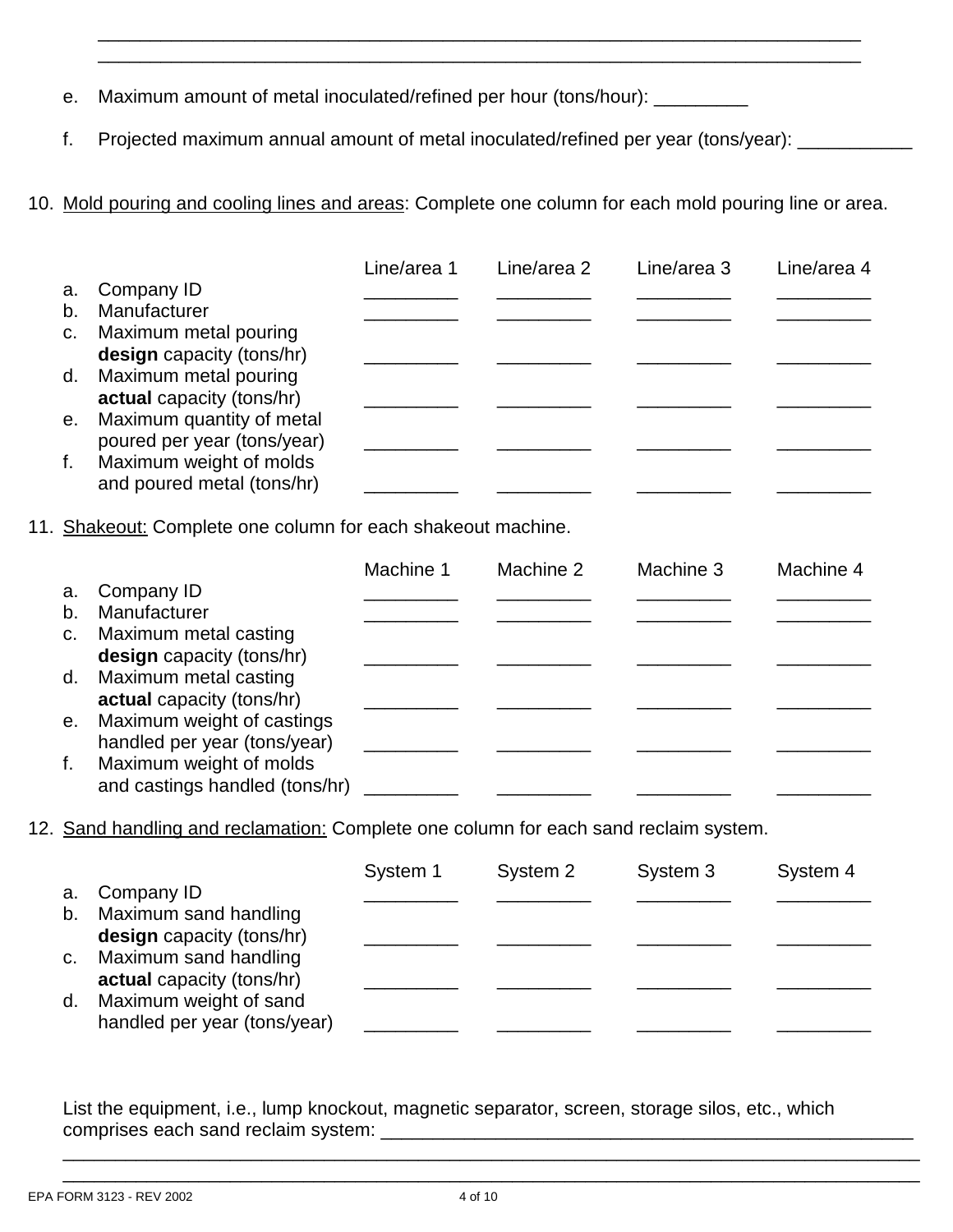- e. Maximum amount of metal inoculated/refined per hour (tons/hour): \_\_\_\_\_\_\_\_\_\_
- f. Projected maximum annual amount of metal inoculated/refined per year (tons/year): \_\_\_\_\_\_\_\_\_
- 10. Mold pouring and cooling lines and areas: Complete one column for each mold pouring line or area.

\_\_\_\_\_\_\_\_\_\_\_\_\_\_\_\_\_\_\_\_\_\_\_\_\_\_\_\_\_\_\_\_\_\_\_\_\_\_\_\_\_\_\_\_\_\_\_\_\_\_\_\_\_\_\_\_\_\_\_\_\_\_\_\_\_\_\_\_\_\_\_\_\_ \_\_\_\_\_\_\_\_\_\_\_\_\_\_\_\_\_\_\_\_\_\_\_\_\_\_\_\_\_\_\_\_\_\_\_\_\_\_\_\_\_\_\_\_\_\_\_\_\_\_\_\_\_\_\_\_\_\_\_\_\_\_\_\_\_\_\_\_\_\_\_\_\_

|                |                             | Line/area 1 | Line/area 2 | Line/area 3 | Line/area 4 |
|----------------|-----------------------------|-------------|-------------|-------------|-------------|
| a.             | Company ID                  |             |             |             |             |
| b.             | Manufacturer                |             |             |             |             |
| C <sub>1</sub> | Maximum metal pouring       |             |             |             |             |
|                | design capacity (tons/hr)   |             |             |             |             |
| d.             | Maximum metal pouring       |             |             |             |             |
|                | actual capacity (tons/hr)   |             |             |             |             |
| e.             | Maximum quantity of metal   |             |             |             |             |
|                | poured per year (tons/year) |             |             |             |             |
| f.             | Maximum weight of molds     |             |             |             |             |
|                | and poured metal (tons/hr)  |             |             |             |             |

11. Shakeout: Complete one column for each shakeout machine.

|    |                                | Machine 1 | Machine 2 | Machine 3 | Machine 4 |
|----|--------------------------------|-----------|-----------|-----------|-----------|
| a. | Company ID                     |           |           |           |           |
| b. | Manufacturer                   |           |           |           |           |
|    | c. Maximum metal casting       |           |           |           |           |
|    | design capacity (tons/hr)      |           |           |           |           |
|    | d. Maximum metal casting       |           |           |           |           |
|    | actual capacity (tons/hr)      |           |           |           |           |
| e. | Maximum weight of castings     |           |           |           |           |
|    | handled per year (tons/year)   |           |           |           |           |
| f. | Maximum weight of molds        |           |           |           |           |
|    | and castings handled (tons/hr) |           |           |           |           |

12. Sand handling and reclamation: Complete one column for each sand reclaim system.

|             |                                                        | System 1 | System 2 | System 3 | System 4 |
|-------------|--------------------------------------------------------|----------|----------|----------|----------|
| a.          | Company ID                                             |          |          |          |          |
| b.          | Maximum sand handling<br>design capacity (tons/hr)     |          |          |          |          |
| $C_{\cdot}$ | Maximum sand handling<br>actual capacity (tons/hr)     |          |          |          |          |
| d.          | Maximum weight of sand<br>handled per year (tons/year) |          |          |          |          |

List the equipment, i.e., lump knockout, magnetic separator, screen, storage silos, etc., which comprises each sand reclaim system:

\_\_\_\_\_\_\_\_\_\_\_\_\_\_\_\_\_\_\_\_\_\_\_\_\_\_\_\_\_\_\_\_\_\_\_\_\_\_\_\_\_\_\_\_\_\_\_\_\_\_\_\_\_\_\_\_\_\_\_\_\_\_\_\_\_\_\_\_\_\_\_\_\_\_\_\_\_\_\_\_\_\_ \_\_\_\_\_\_\_\_\_\_\_\_\_\_\_\_\_\_\_\_\_\_\_\_\_\_\_\_\_\_\_\_\_\_\_\_\_\_\_\_\_\_\_\_\_\_\_\_\_\_\_\_\_\_\_\_\_\_\_\_\_\_\_\_\_\_\_\_\_\_\_\_\_\_\_\_\_\_\_\_\_\_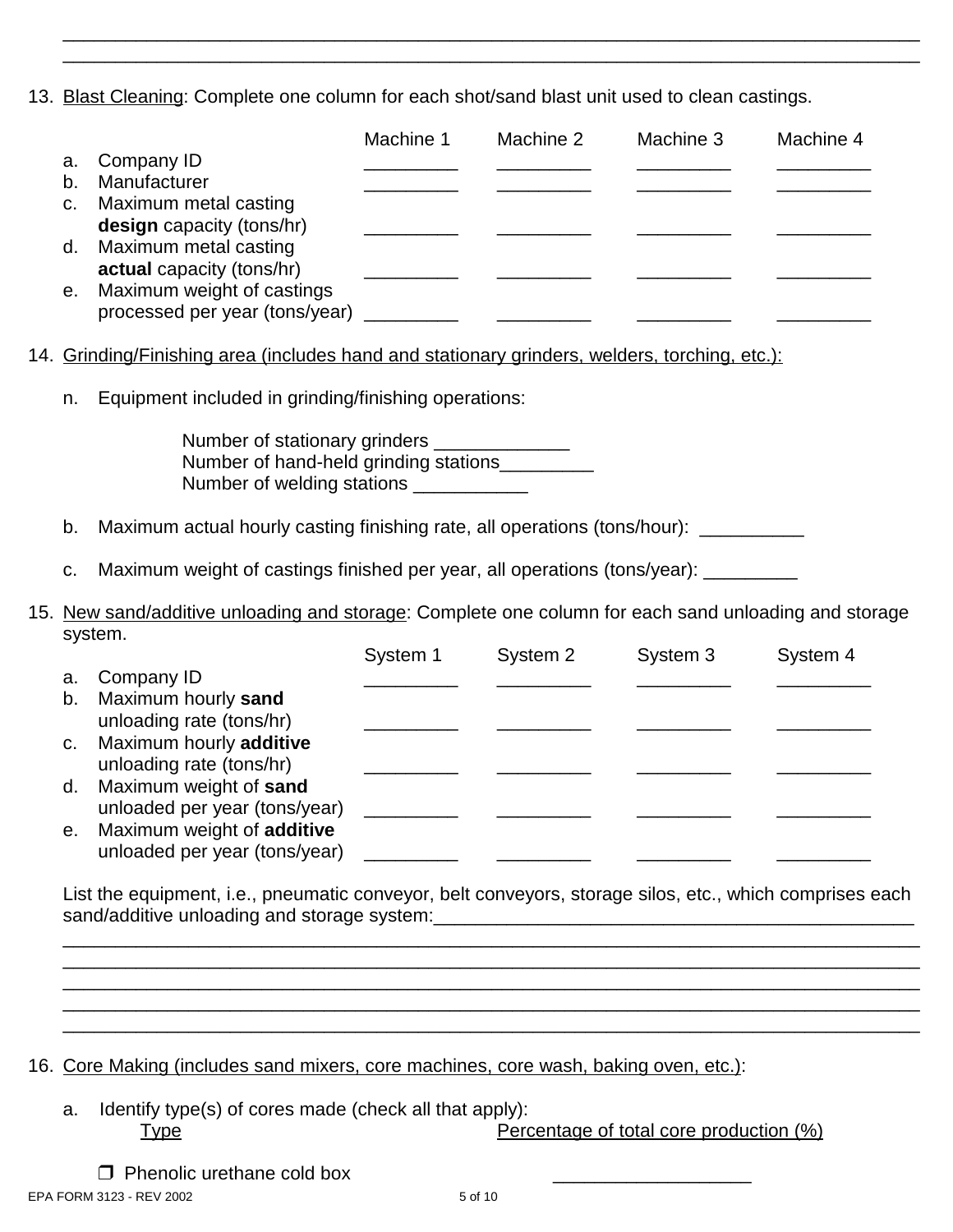13. Blast Cleaning: Complete one column for each shot/sand blast unit used to clean castings.

\_\_\_\_\_\_\_\_\_\_\_\_\_\_\_\_\_\_\_\_\_\_\_\_\_\_\_\_\_\_\_\_\_\_\_\_\_\_\_\_\_\_\_\_\_\_\_\_\_\_\_\_\_\_\_\_\_\_\_\_\_\_\_\_\_\_\_\_\_\_\_\_\_\_\_\_\_\_\_\_\_\_ \_\_\_\_\_\_\_\_\_\_\_\_\_\_\_\_\_\_\_\_\_\_\_\_\_\_\_\_\_\_\_\_\_\_\_\_\_\_\_\_\_\_\_\_\_\_\_\_\_\_\_\_\_\_\_\_\_\_\_\_\_\_\_\_\_\_\_\_\_\_\_\_\_\_\_\_\_\_\_\_\_\_

|             |                                                                                                                                           | Machine 1 | Machine 2                                    | Machine 3 | Machine 4 |
|-------------|-------------------------------------------------------------------------------------------------------------------------------------------|-----------|----------------------------------------------|-----------|-----------|
| a.          | Company ID                                                                                                                                |           |                                              |           |           |
| b.          | Manufacturer                                                                                                                              |           |                                              |           |           |
| C.          | Maximum metal casting<br>design capacity (tons/hr)                                                                                        |           |                                              |           |           |
| d.          | Maximum metal casting                                                                                                                     |           |                                              |           |           |
|             | actual capacity (tons/hr)                                                                                                                 |           |                                              |           |           |
| е.          | Maximum weight of castings<br>processed per year (tons/year)                                                                              |           |                                              |           |           |
|             |                                                                                                                                           |           |                                              |           |           |
|             | 14. Grinding/Finishing area (includes hand and stationary grinders, welders, torching, etc.):                                             |           |                                              |           |           |
| n.          | Equipment included in grinding/finishing operations:                                                                                      |           |                                              |           |           |
|             | Number of stationary grinders ______________<br>Number of hand-held grinding stations__________<br>Number of welding stations ___________ |           |                                              |           |           |
| b.          | Maximum actual hourly casting finishing rate, all operations (tons/hour): _______                                                         |           |                                              |           |           |
| C.          | Maximum weight of castings finished per year, all operations (tons/year): _______                                                         |           |                                              |           |           |
|             | 15. New sand/additive unloading and storage: Complete one column for each sand unloading and storage<br>system.                           |           |                                              |           |           |
|             |                                                                                                                                           | System 1  | System 2                                     | System 3  | System 4  |
| a.          | Company ID                                                                                                                                |           |                                              |           |           |
| b.          | Maximum hourly sand                                                                                                                       |           |                                              |           |           |
|             | unloading rate (tons/hr)                                                                                                                  |           |                                              |           |           |
| $C_{\cdot}$ | Maximum hourly additive                                                                                                                   |           |                                              |           |           |
|             | unloading rate (tons/hr)                                                                                                                  |           |                                              |           |           |
| d.          | Maximum weight of sand<br>unloaded per year (tons/year)                                                                                   |           |                                              |           |           |
| e.          | Maximum weight of additive                                                                                                                |           |                                              |           |           |
|             | unloaded per year (tons/year)                                                                                                             |           | <u> 1980 - Jan Barbarat, politik eta pro</u> |           |           |
|             |                                                                                                                                           |           |                                              |           |           |

List the equipment, i.e., pneumatic conveyor, belt conveyors, storage silos, etc., which comprises each sand/additive unloading and storage system:\_\_\_\_\_\_\_\_\_\_\_\_\_\_\_\_\_\_\_\_\_\_\_\_\_\_\_\_\_\_\_\_\_\_\_\_\_\_\_\_\_\_\_\_\_\_

\_\_\_\_\_\_\_\_\_\_\_\_\_\_\_\_\_\_\_\_\_\_\_\_\_\_\_\_\_\_\_\_\_\_\_\_\_\_\_\_\_\_\_\_\_\_\_\_\_\_\_\_\_\_\_\_\_\_\_\_\_\_\_\_\_\_\_\_\_\_\_\_\_\_\_\_\_\_\_\_\_\_ \_\_\_\_\_\_\_\_\_\_\_\_\_\_\_\_\_\_\_\_\_\_\_\_\_\_\_\_\_\_\_\_\_\_\_\_\_\_\_\_\_\_\_\_\_\_\_\_\_\_\_\_\_\_\_\_\_\_\_\_\_\_\_\_\_\_\_\_\_\_\_\_\_\_\_\_\_\_\_\_\_\_ \_\_\_\_\_\_\_\_\_\_\_\_\_\_\_\_\_\_\_\_\_\_\_\_\_\_\_\_\_\_\_\_\_\_\_\_\_\_\_\_\_\_\_\_\_\_\_\_\_\_\_\_\_\_\_\_\_\_\_\_\_\_\_\_\_\_\_\_\_\_\_\_\_\_\_\_\_\_\_\_\_\_ \_\_\_\_\_\_\_\_\_\_\_\_\_\_\_\_\_\_\_\_\_\_\_\_\_\_\_\_\_\_\_\_\_\_\_\_\_\_\_\_\_\_\_\_\_\_\_\_\_\_\_\_\_\_\_\_\_\_\_\_\_\_\_\_\_\_\_\_\_\_\_\_\_\_\_\_\_\_\_\_\_\_ \_\_\_\_\_\_\_\_\_\_\_\_\_\_\_\_\_\_\_\_\_\_\_\_\_\_\_\_\_\_\_\_\_\_\_\_\_\_\_\_\_\_\_\_\_\_\_\_\_\_\_\_\_\_\_\_\_\_\_\_\_\_\_\_\_\_\_\_\_\_\_\_\_\_\_\_\_\_\_\_\_\_

- 16. Core Making (includes sand mixers, core machines, core wash, baking oven, etc.):
	- a. Identify type(s) of cores made (check all that apply): Type **Percentage of total core production (%)** 
		- $\Box$  Phenolic urethane cold box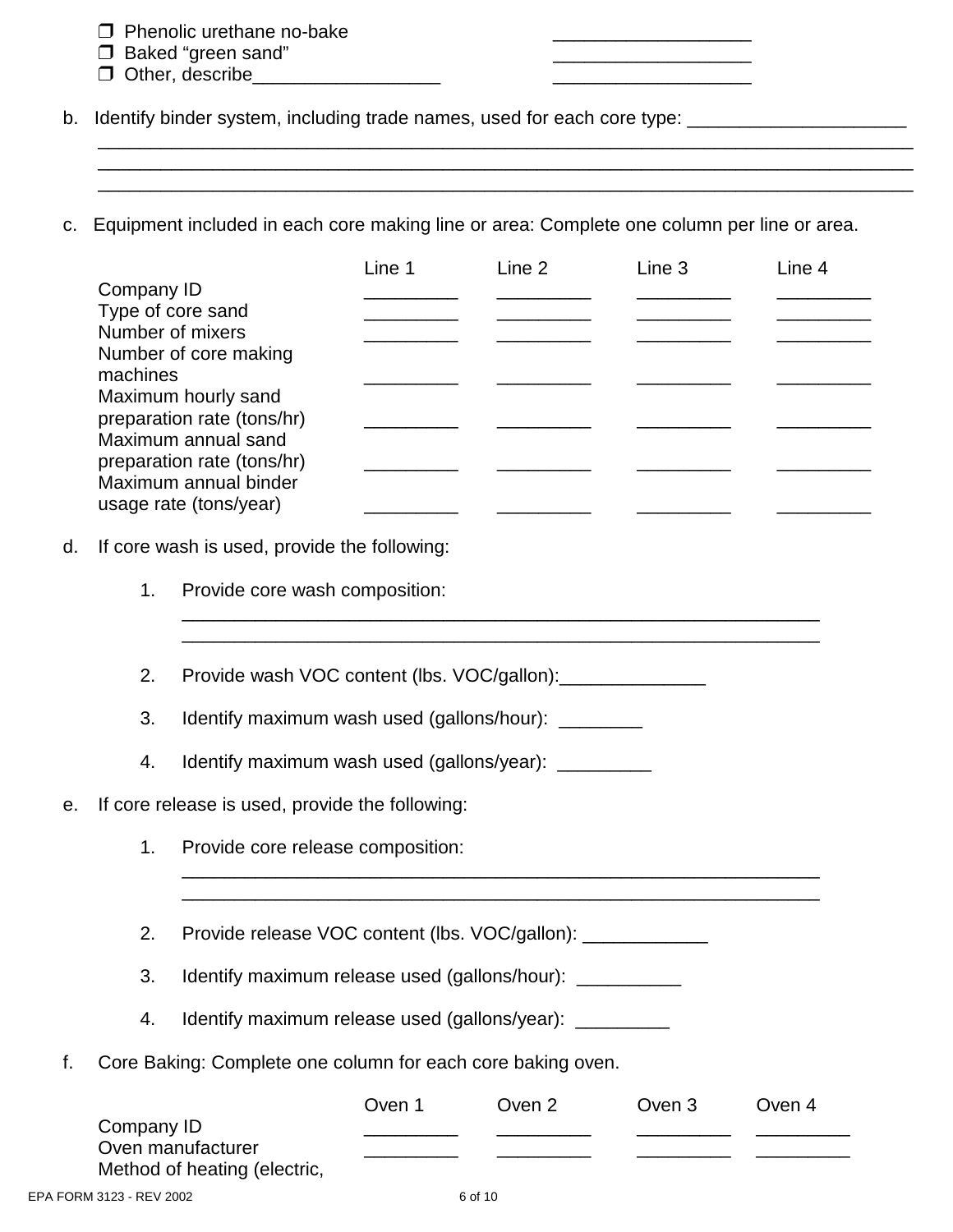| $\Box$ Phenolic urethane no-bake |  |
|----------------------------------|--|
|                                  |  |

- □ Baked "green sand" <br>□ Daked "green sand" 2
- $\Box$  Other, describe\_

b. Identify binder system, including trade names, used for each core type: \_\_\_\_\_\_\_\_\_\_\_\_\_\_\_\_\_\_\_\_\_\_\_\_\_

c. Equipment included in each core making line or area: Complete one column per line or area.

\_\_\_\_\_\_\_\_\_\_\_\_\_\_\_\_\_\_\_\_\_\_\_\_\_\_\_\_\_\_\_\_\_\_\_\_\_\_\_\_\_\_\_\_\_\_\_\_\_\_\_\_\_\_\_\_\_\_\_\_\_\_\_\_\_\_\_\_\_\_\_\_\_\_\_\_\_\_

\_\_\_\_\_\_\_\_\_\_\_\_\_\_\_\_\_\_\_\_\_\_\_\_\_\_\_\_\_\_\_\_\_\_\_\_\_\_\_\_\_\_\_\_\_\_\_\_\_\_\_\_\_\_\_\_\_\_\_\_\_\_\_\_\_\_\_\_\_\_\_\_\_\_\_\_\_\_

|    |            |                                                             | Line 1 | Line 2 | Line 3 | Line 4 |
|----|------------|-------------------------------------------------------------|--------|--------|--------|--------|
|    | Company ID | Type of core sand                                           |        |        |        |        |
|    |            | Number of mixers                                            |        |        |        |        |
|    |            | Number of core making                                       |        |        |        |        |
|    | machines   | Maximum hourly sand                                         |        |        |        |        |
|    |            | preparation rate (tons/hr)                                  |        |        |        |        |
|    |            | Maximum annual sand<br>preparation rate (tons/hr)           |        |        |        |        |
|    |            | Maximum annual binder                                       |        |        |        |        |
|    |            | usage rate (tons/year)                                      |        |        |        |        |
| d. |            | If core wash is used, provide the following:                |        |        |        |        |
|    | 1.         | Provide core wash composition:                              |        |        |        |        |
|    |            |                                                             |        |        |        |        |
|    | 2.         | Provide wash VOC content (lbs. VOC/gallon):                 |        |        |        |        |
|    | 3.         | Identify maximum wash used (gallons/hour): ________         |        |        |        |        |
|    | 4.         | Identify maximum wash used (gallons/year): __________       |        |        |        |        |
| e. |            | If core release is used, provide the following:             |        |        |        |        |
|    | 1.         | Provide core release composition:                           |        |        |        |        |
|    | 2.         | Provide release VOC content (lbs. VOC/gallon): ____________ |        |        |        |        |
|    |            |                                                             |        |        |        |        |
|    | 3.         | Identify maximum release used (gallons/hour): ____________  |        |        |        |        |
|    | 4.         | Identify maximum release used (gallons/year): __________    |        |        |        |        |
| f. |            | Core Baking: Complete one column for each core baking oven. |        |        |        |        |
|    |            |                                                             | Oven 1 | Oven 2 | Oven 3 | Oven 4 |
|    | Company ID | Oven manufacturer                                           |        |        |        |        |

Method of heating (electric,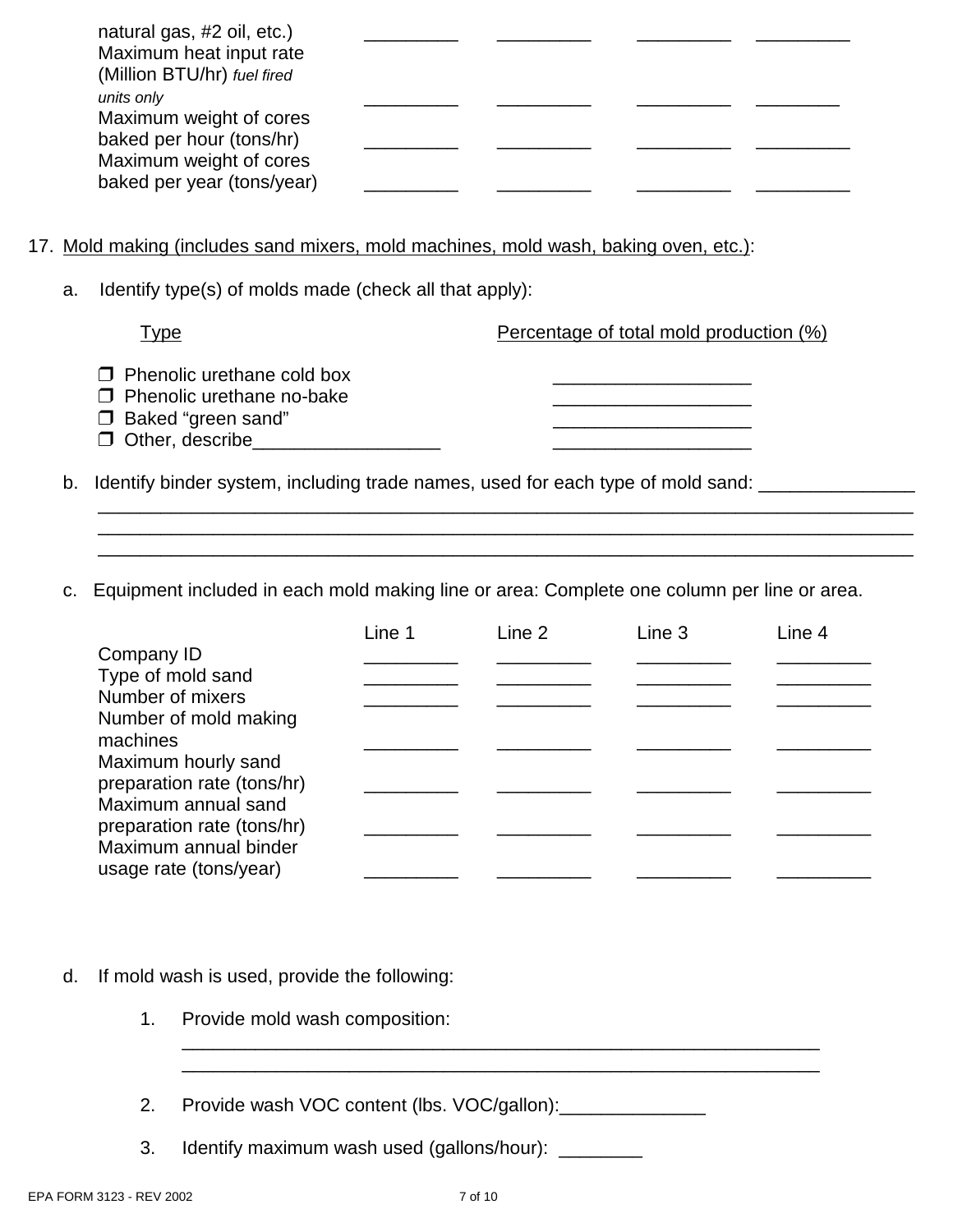| natural gas, #2 oil, etc.)  |  |  |
|-----------------------------|--|--|
| Maximum heat input rate     |  |  |
| (Million BTU/hr) fuel fired |  |  |
| units only                  |  |  |
| Maximum weight of cores     |  |  |
| baked per hour (tons/hr)    |  |  |
| Maximum weight of cores     |  |  |
| baked per year (tons/year)  |  |  |

- 17. Mold making (includes sand mixers, mold machines, mold wash, baking oven, etc.):
	- a. Identify type(s) of molds made (check all that apply):

| Гуре                      |                                                                                                 | Percentage of total mold production (%)                                            |
|---------------------------|-------------------------------------------------------------------------------------------------|------------------------------------------------------------------------------------|
| $\Box$ Baked "green sand" | $\Box$ Phenolic urethane cold box<br>$\Box$ Phenolic urethane no-bake<br>$\Box$ Other, describe |                                                                                    |
|                           |                                                                                                 | b. Identify binder system, including trade names, used for each type of mold sand: |

\_\_\_\_\_\_\_\_\_\_\_\_\_\_\_\_\_\_\_\_\_\_\_\_\_\_\_\_\_\_\_\_\_\_\_\_\_\_\_\_\_\_\_\_\_\_\_\_\_\_\_\_\_\_\_\_\_\_\_\_\_\_\_\_\_\_\_\_\_\_\_\_\_\_\_\_\_\_ \_\_\_\_\_\_\_\_\_\_\_\_\_\_\_\_\_\_\_\_\_\_\_\_\_\_\_\_\_\_\_\_\_\_\_\_\_\_\_\_\_\_\_\_\_\_\_\_\_\_\_\_\_\_\_\_\_\_\_\_\_\_\_\_\_\_\_\_\_\_\_\_\_\_\_\_\_\_ \_\_\_\_\_\_\_\_\_\_\_\_\_\_\_\_\_\_\_\_\_\_\_\_\_\_\_\_\_\_\_\_\_\_\_\_\_\_\_\_\_\_\_\_\_\_\_\_\_\_\_\_\_\_\_\_\_\_\_\_\_\_\_\_\_\_\_\_\_\_\_\_\_\_\_\_\_\_

c. Equipment included in each mold making line or area: Complete one column per line or area.

|                            | Line 1 | Line 2 | Line 3 | Line 4 |
|----------------------------|--------|--------|--------|--------|
| Company ID                 |        |        |        |        |
| Type of mold sand          |        |        |        |        |
| Number of mixers           |        |        |        |        |
| Number of mold making      |        |        |        |        |
| machines                   |        |        |        |        |
| Maximum hourly sand        |        |        |        |        |
| preparation rate (tons/hr) |        |        |        |        |
| Maximum annual sand        |        |        |        |        |
| preparation rate (tons/hr) |        |        |        |        |
| Maximum annual binder      |        |        |        |        |
| usage rate (tons/year)     |        |        |        |        |

- d. If mold wash is used, provide the following:
	- 1. Provide mold wash composition:
	- 2. Provide wash VOC content (lbs. VOC/gallon): \_\_\_\_\_\_\_\_\_\_\_\_\_\_\_\_
	- 3. Identify maximum wash used (gallons/hour): \_\_\_\_\_\_\_\_

\_\_\_\_\_\_\_\_\_\_\_\_\_\_\_\_\_\_\_\_\_\_\_\_\_\_\_\_\_\_\_\_\_\_\_\_\_\_\_\_\_\_\_\_\_\_\_\_\_\_\_\_\_\_\_\_\_\_\_\_\_ \_\_\_\_\_\_\_\_\_\_\_\_\_\_\_\_\_\_\_\_\_\_\_\_\_\_\_\_\_\_\_\_\_\_\_\_\_\_\_\_\_\_\_\_\_\_\_\_\_\_\_\_\_\_\_\_\_\_\_\_\_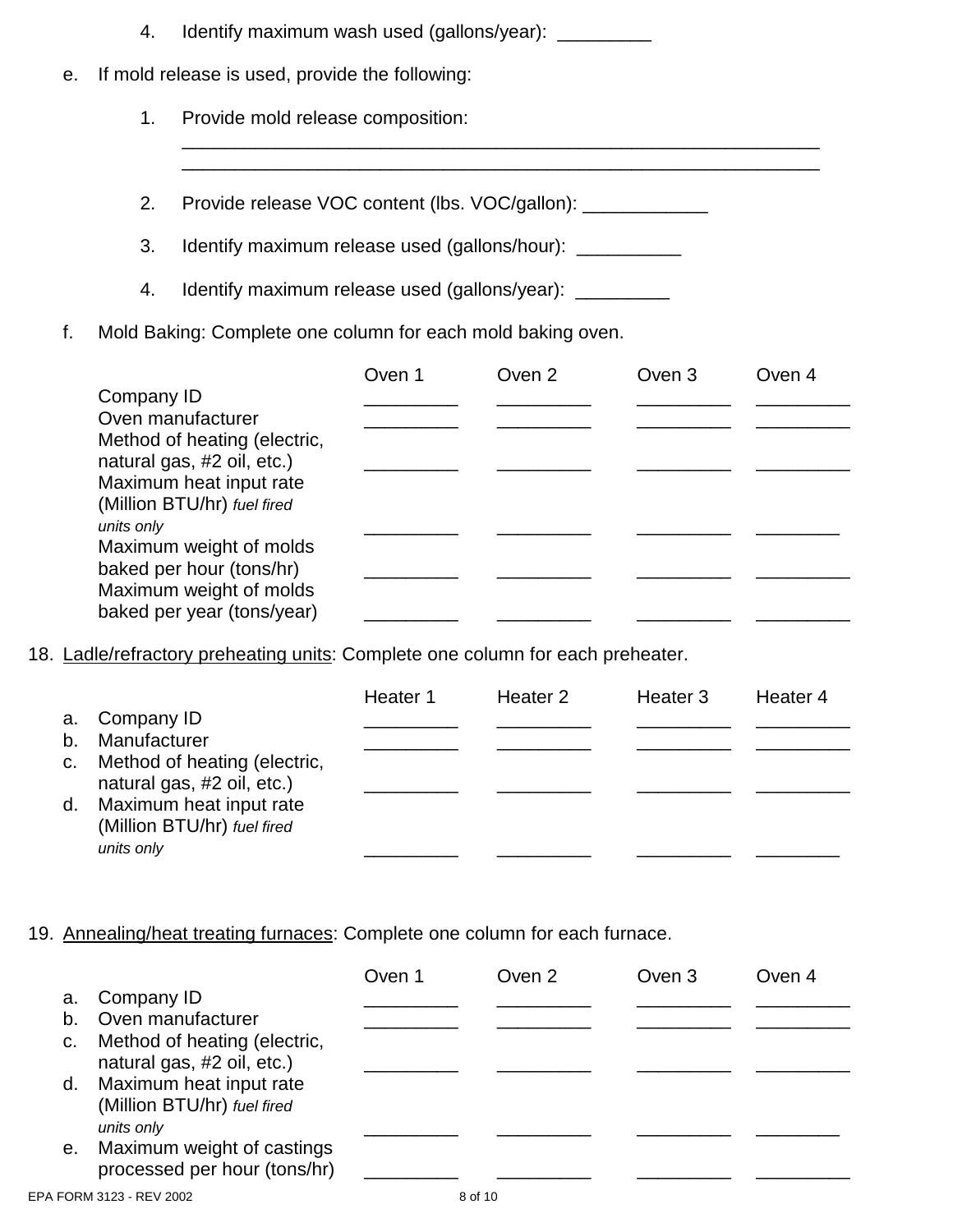|    | 4.                                                          | Identify maximum wash used (gallons/year):                |  |  |  |  |  |  |
|----|-------------------------------------------------------------|-----------------------------------------------------------|--|--|--|--|--|--|
| е. | If mold release is used, provide the following:             |                                                           |  |  |  |  |  |  |
|    | 1.                                                          | Provide mold release composition:                         |  |  |  |  |  |  |
|    |                                                             |                                                           |  |  |  |  |  |  |
|    | 2.                                                          | Provide release VOC content (lbs. VOC/gallon):            |  |  |  |  |  |  |
|    | 3.                                                          | Identify maximum release used (gallons/hour): ___________ |  |  |  |  |  |  |
|    | 4.                                                          | Identify maximum release used (gallons/year): __________  |  |  |  |  |  |  |
| f. | Mold Baking: Complete one column for each mold baking oven. |                                                           |  |  |  |  |  |  |
|    | Oven 1<br>Oven 2<br>Oven 3<br>Oven 4<br>Company ID          |                                                           |  |  |  |  |  |  |

| Company ID                   |  |  |
|------------------------------|--|--|
| Oven manufacturer            |  |  |
| Method of heating (electric, |  |  |
| natural gas, #2 oil, etc.)   |  |  |
| Maximum heat input rate      |  |  |
| (Million BTU/hr) fuel fired  |  |  |
| units only                   |  |  |
| Maximum weight of molds      |  |  |
| baked per hour (tons/hr)     |  |  |
| Maximum weight of molds      |  |  |
| baked per year (tons/year)   |  |  |
|                              |  |  |

18. Ladle/refractory preheating units: Complete one column for each preheater.

|                |                                                            | Heater 1 | Heater 2 | Heater 3 | Heater 4 |
|----------------|------------------------------------------------------------|----------|----------|----------|----------|
|                | a. Company ID<br>Manufacturer                              |          |          |          |          |
| b <sub>1</sub> |                                                            |          |          |          |          |
| C <sub>1</sub> | Method of heating (electric,<br>natural gas, #2 oil, etc.) |          |          |          |          |
| d.             | Maximum heat input rate<br>(Million BTU/hr) fuel fired     |          |          |          |          |
|                | units only                                                 |          |          |          |          |

### 19. Annealing/heat treating furnaces: Complete one column for each furnace.

|    |                                                                          | Oven 1 | Oven 2  | Oven 3 | Oven 4 |
|----|--------------------------------------------------------------------------|--------|---------|--------|--------|
| а. | Company ID                                                               |        |         |        |        |
| b. | Oven manufacturer                                                        |        |         |        |        |
| C. | Method of heating (electric,<br>natural gas, #2 oil, etc.)               |        |         |        |        |
| d. | Maximum heat input rate<br>(Million BTU/hr) fuel fired                   |        |         |        |        |
| е. | units only<br>Maximum weight of castings<br>processed per hour (tons/hr) |        |         |        |        |
|    | EPA FORM 3123 - REV 2002                                                 |        | 8 of 10 |        |        |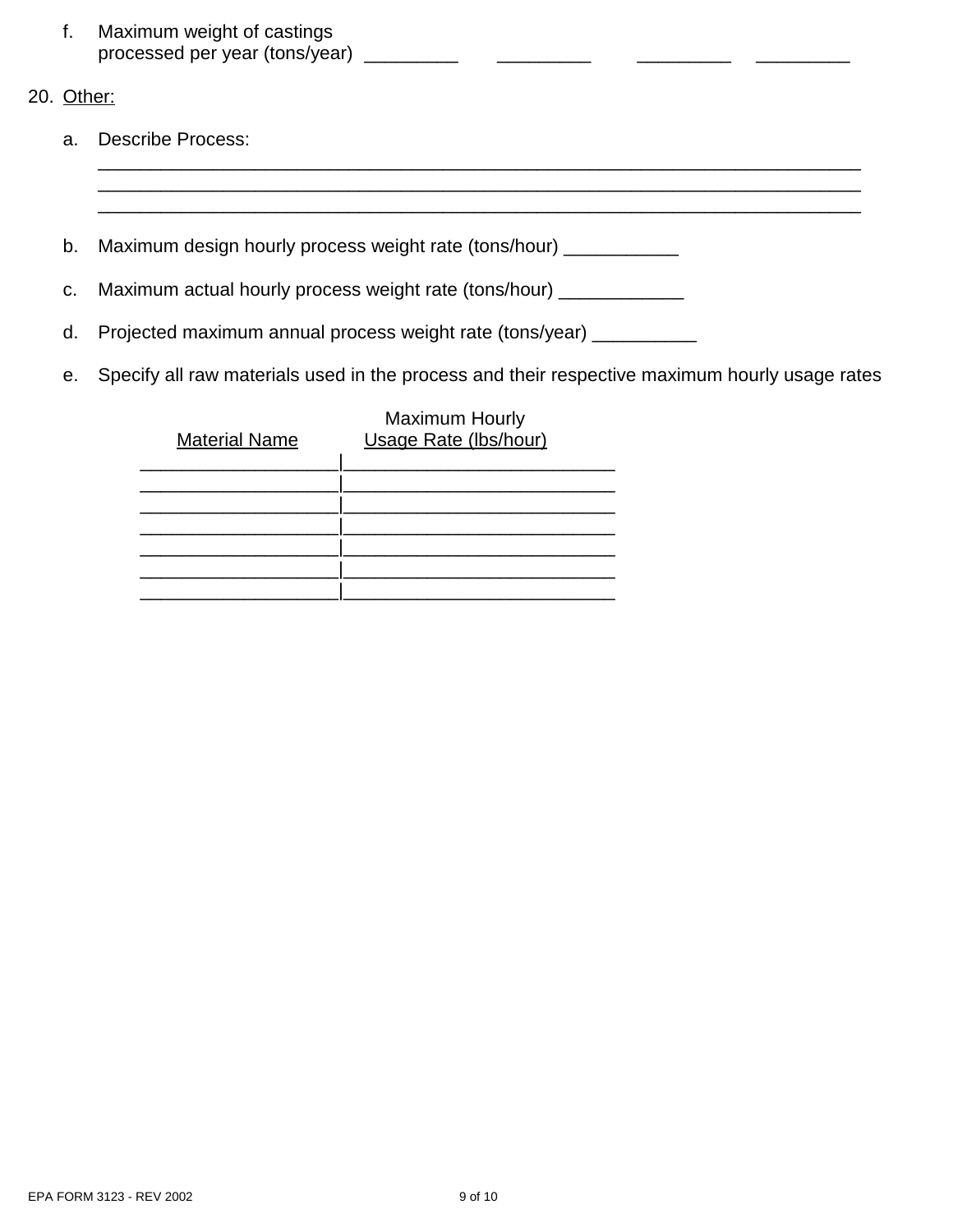- f. Maximum weight of castings processed per year (tons/year) \_\_\_\_\_\_\_\_\_ \_\_\_\_\_\_\_\_\_ \_\_\_\_\_\_\_\_\_ \_\_\_\_\_\_\_\_\_
- 20. Other:
	- a. Describe Process:
	- b. Maximum design hourly process weight rate (tons/hour) \_\_\_\_\_\_\_\_\_\_\_
	- c. Maximum actual hourly process weight rate (tons/hour) \_\_\_\_\_\_\_\_\_\_\_\_\_
	- d. Projected maximum annual process weight rate (tons/year) \_\_\_\_\_\_\_\_\_\_
	- e. Specify all raw materials used in the process and their respective maximum hourly usage rates

\_\_\_\_\_\_\_\_\_\_\_\_\_\_\_\_\_\_\_\_\_\_\_\_\_\_\_\_\_\_\_\_\_\_\_\_\_\_\_\_\_\_\_\_\_\_\_\_\_\_\_\_\_\_\_\_\_\_\_\_\_\_\_\_\_\_\_\_\_\_\_\_\_ \_\_\_\_\_\_\_\_\_\_\_\_\_\_\_\_\_\_\_\_\_\_\_\_\_\_\_\_\_\_\_\_\_\_\_\_\_\_\_\_\_\_\_\_\_\_\_\_\_\_\_\_\_\_\_\_\_\_\_\_\_\_\_\_\_\_\_\_\_\_\_\_\_

| <b>Material Name</b> | <b>Maximum Hourly</b><br>Usage Rate (Ibs/hour) |
|----------------------|------------------------------------------------|
|                      |                                                |
|                      |                                                |
|                      |                                                |
|                      |                                                |
|                      |                                                |
|                      |                                                |
|                      |                                                |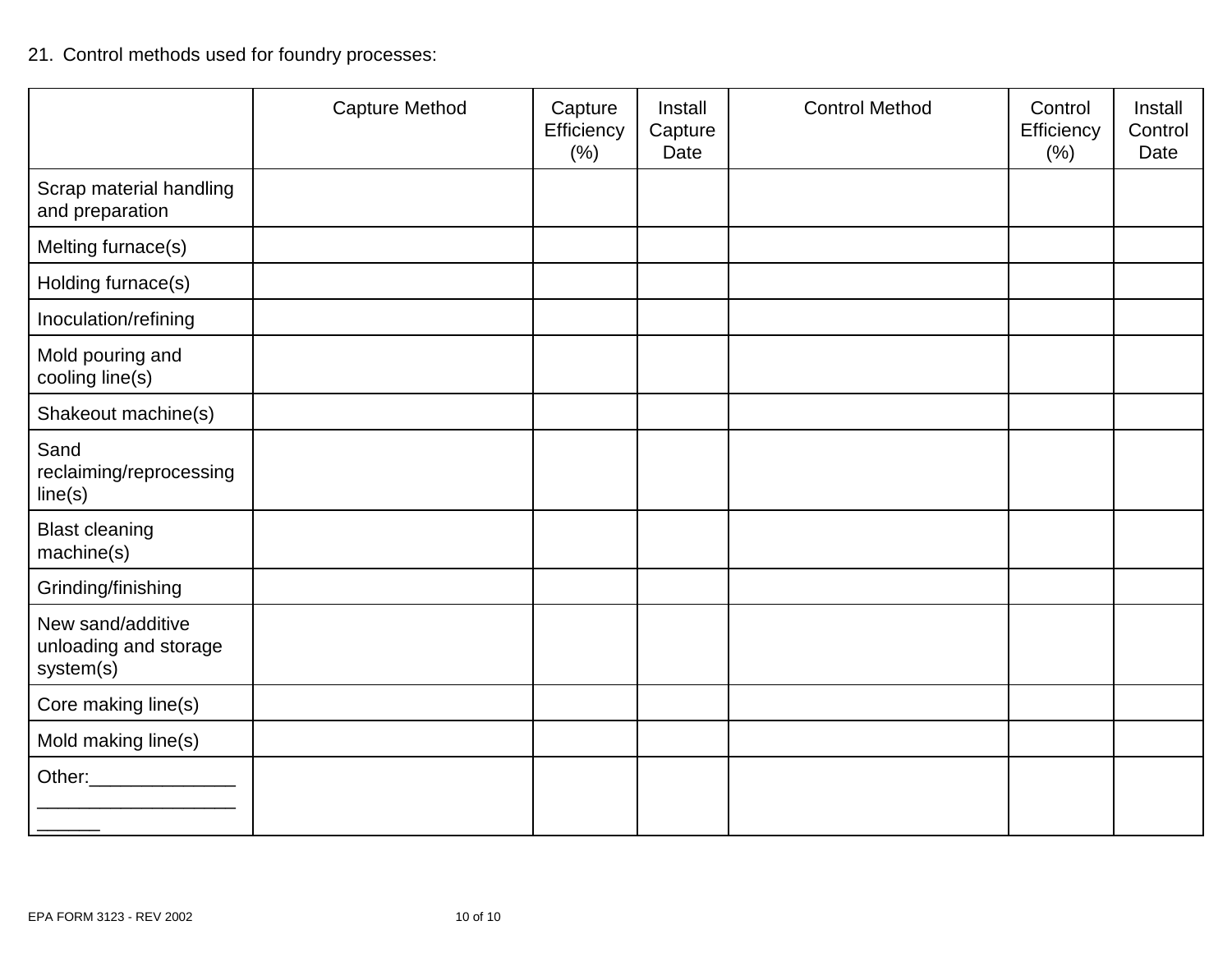# 21. Control methods used for foundry processes:

|                                                         | <b>Capture Method</b> | Capture<br>Efficiency<br>(% ) | Install<br>Capture<br>Date | <b>Control Method</b> | Control<br>Efficiency<br>(% ) | Install<br>Control<br>Date |
|---------------------------------------------------------|-----------------------|-------------------------------|----------------------------|-----------------------|-------------------------------|----------------------------|
| Scrap material handling<br>and preparation              |                       |                               |                            |                       |                               |                            |
| Melting furnace(s)                                      |                       |                               |                            |                       |                               |                            |
| Holding furnace(s)                                      |                       |                               |                            |                       |                               |                            |
| Inoculation/refining                                    |                       |                               |                            |                       |                               |                            |
| Mold pouring and<br>cooling line(s)                     |                       |                               |                            |                       |                               |                            |
| Shakeout machine(s)                                     |                       |                               |                            |                       |                               |                            |
| Sand<br>reclaiming/reprocessing<br>line(s)              |                       |                               |                            |                       |                               |                            |
| <b>Blast cleaning</b><br>machine(s)                     |                       |                               |                            |                       |                               |                            |
| Grinding/finishing                                      |                       |                               |                            |                       |                               |                            |
| New sand/additive<br>unloading and storage<br>system(s) |                       |                               |                            |                       |                               |                            |
| Core making line(s)                                     |                       |                               |                            |                       |                               |                            |
| Mold making line(s)                                     |                       |                               |                            |                       |                               |                            |
|                                                         |                       |                               |                            |                       |                               |                            |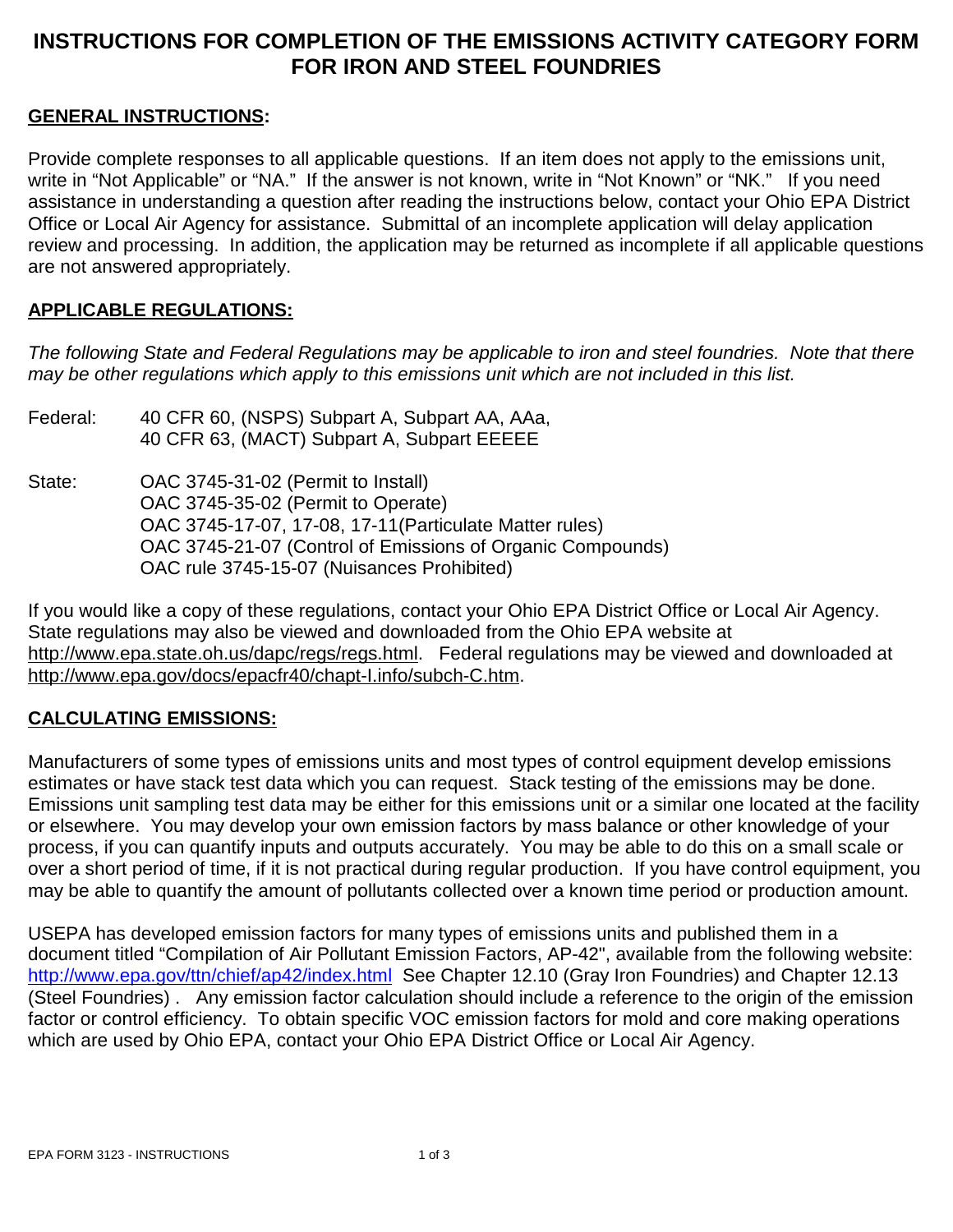### **INSTRUCTIONS FOR COMPLETION OF THE EMISSIONS ACTIVITY CATEGORY FORM FOR IRON AND STEEL FOUNDRIES**

### **GENERAL INSTRUCTIONS:**

Provide complete responses to all applicable questions. If an item does not apply to the emissions unit, write in "Not Applicable" or "NA." If the answer is not known, write in "Not Known" or "NK." If you need assistance in understanding a question after reading the instructions below, contact your Ohio EPA District Office or Local Air Agency for assistance. Submittal of an incomplete application will delay application review and processing. In addition, the application may be returned as incomplete if all applicable questions are not answered appropriately.

### **APPLICABLE REGULATIONS:**

*The following State and Federal Regulations may be applicable to iron and steel foundries. Note that there may be other regulations which apply to this emissions unit which are not included in this list.*

- Federal: 40 CFR 60, (NSPS) Subpart A, Subpart AA, AAa, 40 CFR 63, (MACT) Subpart A, Subpart EEEEE
- State: OAC 3745-31-02 (Permit to Install) OAC 3745-35-02 (Permit to Operate) OAC 3745-17-07, 17-08, 17-11(Particulate Matter rules) OAC 3745-21-07 (Control of Emissions of Organic Compounds) OAC rule 3745-15-07 (Nuisances Prohibited)

If you would like a copy of these regulations, contact your Ohio EPA District Office or Local Air Agency. State regulations may also be viewed and downloaded from the Ohio EPA website at http://www.epa.state.oh.us/dapc/regs/regs.html. Federal regulations may be viewed and downloaded at http://www.epa.gov/docs/epacfr40/chapt-I.info/subch-C.htm.

### **CALCULATING EMISSIONS:**

Manufacturers of some types of emissions units and most types of control equipment develop emissions estimates or have stack test data which you can request. Stack testing of the emissions may be done. Emissions unit sampling test data may be either for this emissions unit or a similar one located at the facility or elsewhere. You may develop your own emission factors by mass balance or other knowledge of your process, if you can quantify inputs and outputs accurately. You may be able to do this on a small scale or over a short period of time, if it is not practical during regular production. If you have control equipment, you may be able to quantify the amount of pollutants collected over a known time period or production amount.

USEPA has developed emission factors for many types of emissions units and published them in a document titled "Compilation of Air Pollutant Emission Factors, AP-42", available from the following website: http://www.epa.gov/ttn/chief/ap42/index.html See Chapter 12.10 (Gray Iron Foundries) and Chapter 12.13 (Steel Foundries) . Any emission factor calculation should include a reference to the origin of the emission factor or control efficiency. To obtain specific VOC emission factors for mold and core making operations which are used by Ohio EPA, contact your Ohio EPA District Office or Local Air Agency.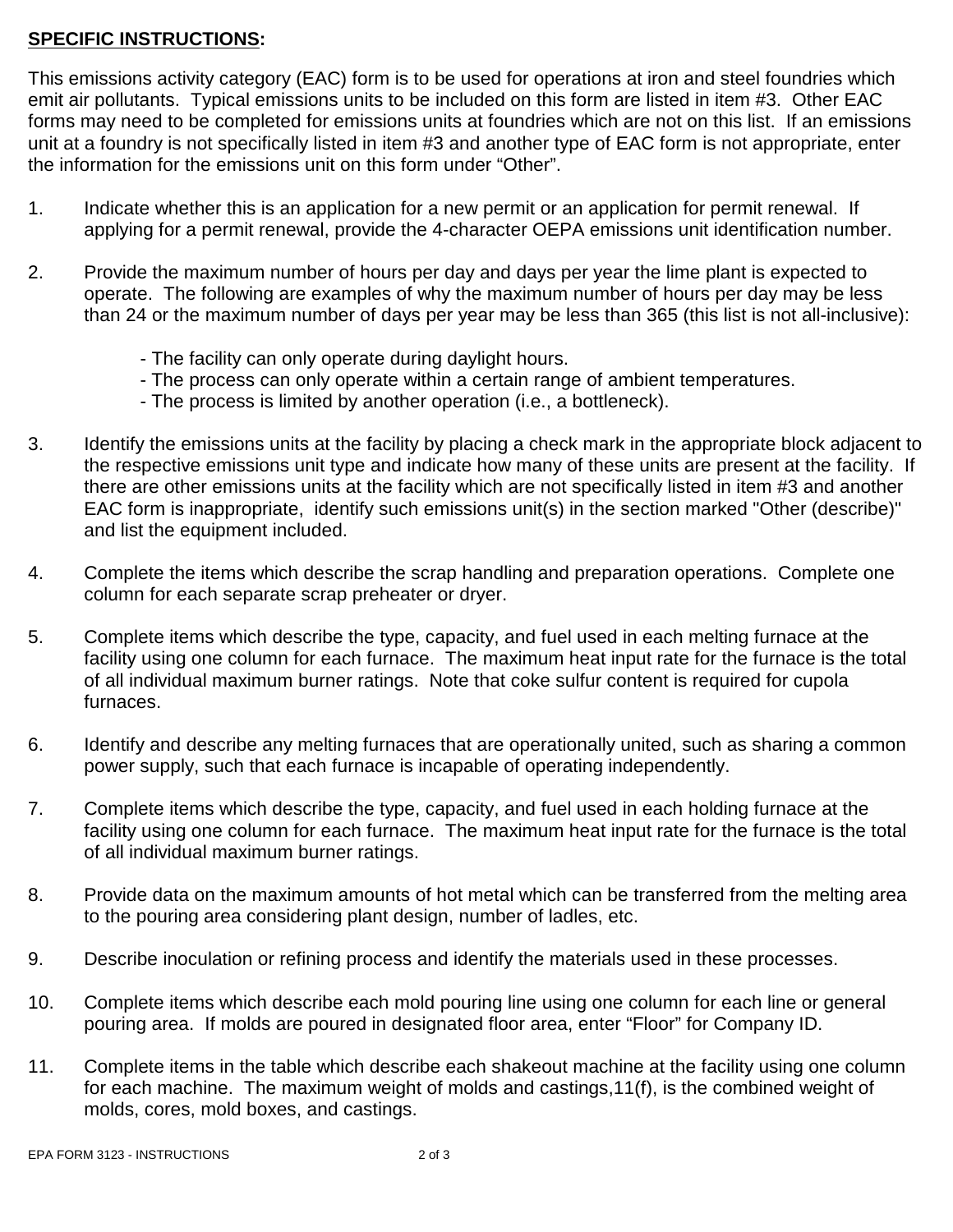### **SPECIFIC INSTRUCTIONS:**

This emissions activity category (EAC) form is to be used for operations at iron and steel foundries which emit air pollutants. Typical emissions units to be included on this form are listed in item #3. Other EAC forms may need to be completed for emissions units at foundries which are not on this list. If an emissions unit at a foundry is not specifically listed in item #3 and another type of EAC form is not appropriate, enter the information for the emissions unit on this form under "Other".

- 1. Indicate whether this is an application for a new permit or an application for permit renewal. If applying for a permit renewal, provide the 4-character OEPA emissions unit identification number.
- 2. Provide the maximum number of hours per day and days per year the lime plant is expected to operate. The following are examples of why the maximum number of hours per day may be less than 24 or the maximum number of days per year may be less than 365 (this list is not all-inclusive):
	- The facility can only operate during daylight hours.
	- The process can only operate within a certain range of ambient temperatures.
	- The process is limited by another operation (i.e., a bottleneck).
- 3. Identify the emissions units at the facility by placing a check mark in the appropriate block adjacent to the respective emissions unit type and indicate how many of these units are present at the facility. If there are other emissions units at the facility which are not specifically listed in item #3 and another EAC form is inappropriate, identify such emissions unit(s) in the section marked "Other (describe)" and list the equipment included.
- 4. Complete the items which describe the scrap handling and preparation operations. Complete one column for each separate scrap preheater or dryer.
- 5. Complete items which describe the type, capacity, and fuel used in each melting furnace at the facility using one column for each furnace. The maximum heat input rate for the furnace is the total of all individual maximum burner ratings. Note that coke sulfur content is required for cupola furnaces.
- 6. Identify and describe any melting furnaces that are operationally united, such as sharing a common power supply, such that each furnace is incapable of operating independently.
- 7. Complete items which describe the type, capacity, and fuel used in each holding furnace at the facility using one column for each furnace. The maximum heat input rate for the furnace is the total of all individual maximum burner ratings.
- 8. Provide data on the maximum amounts of hot metal which can be transferred from the melting area to the pouring area considering plant design, number of ladles, etc.
- 9. Describe inoculation or refining process and identify the materials used in these processes.
- 10. Complete items which describe each mold pouring line using one column for each line or general pouring area. If molds are poured in designated floor area, enter "Floor" for Company ID.
- 11. Complete items in the table which describe each shakeout machine at the facility using one column for each machine. The maximum weight of molds and castings,11(f), is the combined weight of molds, cores, mold boxes, and castings.